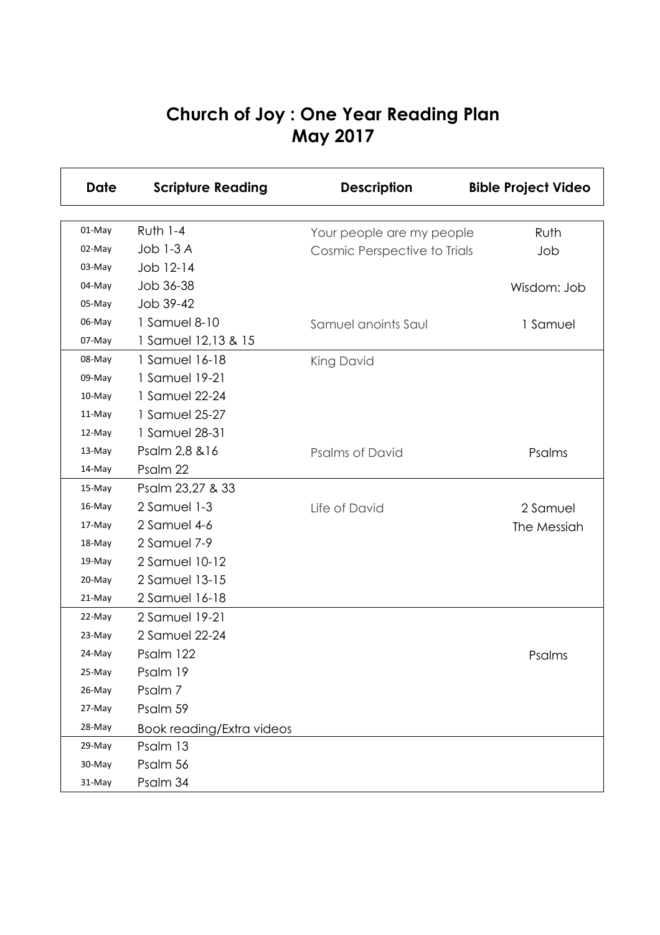## **Church of Joy : One Year Reading Plan May 2017**

| Date      | <b>Scripture Reading</b>         | <b>Description</b>           | <b>Bible Project Video</b> |
|-----------|----------------------------------|------------------------------|----------------------------|
|           |                                  |                              |                            |
| 01-May    | <b>Ruth 1-4</b>                  | Your people are my people    | Ruth                       |
| 02-May    | $Job 1-3A$                       | Cosmic Perspective to Trials | Job                        |
| 03-May    | Job 12-14                        |                              |                            |
| 04-May    | Job 36-38                        |                              | Wisdom: Job                |
| 05-May    | Job 39-42                        |                              |                            |
| 06-May    | 1 Samuel 8-10                    | Samuel anoints Saul          | 1 Samuel                   |
| 07-May    | 1 Samuel 12,13 & 15              |                              |                            |
| 08-May    | 1 Samuel 16-18                   | King David                   |                            |
| 09-May    | 1 Samuel 19-21                   |                              |                            |
| 10-May    | 1 Samuel 22-24                   |                              |                            |
| 11-May    | 1 Samuel 25-27                   |                              |                            |
| 12-May    | 1 Samuel 28-31                   |                              |                            |
| 13-May    | Psalm 2,8 & 16                   | <b>Psalms of David</b>       | Psalms                     |
| 14-May    | Psalm 22                         |                              |                            |
| 15-May    | Psalm 23,27 & 33                 |                              |                            |
| 16-May    | 2 Samuel 1-3                     | Life of David                | 2 Samuel                   |
| 17-May    | 2 Samuel 4-6                     |                              | The Messiah                |
| $18$ -May | 2 Samuel 7-9                     |                              |                            |
| 19-May    | 2 Samuel 10-12                   |                              |                            |
| 20-May    | 2 Samuel 13-15                   |                              |                            |
| 21-May    | 2 Samuel 16-18                   |                              |                            |
| 22-May    | 2 Samuel 19-21                   |                              |                            |
| 23-May    | 2 Samuel 22-24                   |                              |                            |
| 24-May    | Psalm 122                        |                              | Psalms                     |
| 25-May    | Psalm 19                         |                              |                            |
| 26-May    | Psalm 7                          |                              |                            |
| 27-May    | Psalm 59                         |                              |                            |
| 28-May    | <b>Book reading/Extra videos</b> |                              |                            |
| 29-May    | Psalm 13                         |                              |                            |
| 30-May    | Psalm 56                         |                              |                            |
| 31-May    | Psalm 34                         |                              |                            |